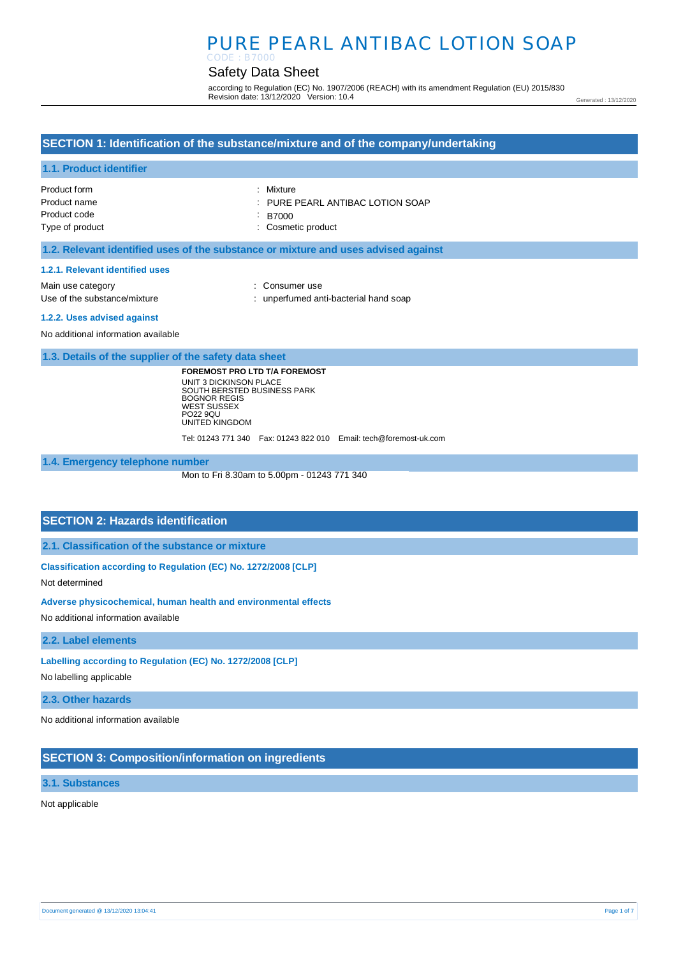# PURE PEARL ANTIBAC LOTION SOAP

#### Safety Data Sheet CODE : B7000

according to Regulation (EC) No. 1907/2006 (REACH) with its amendment Regulation (EU) 2015/830 Revision date: 13/12/2020 Version: 10.4

Generated : 13/12/2020

### **SECTION 1: Identification of the substance/mixture and of the company/undertaking**

### **1.1. Product identifier**

| Product form    | : Mixture                        |
|-----------------|----------------------------------|
| Product name    | : PURE PEARL ANTIBAC LOTION SOAP |
| Product code    | $\therefore$ B7000               |
| Type of product | : Cosmetic product               |

### **1.2. Relevant identified uses of the substance or mixture and uses advised against**

#### **1.2.1. Relevant identified uses**

Main use category **Main use category CONSULARE 2018** Use of the substance/mixture in the substance of the substance of the substance of the substance of the substance of the substance of the substance of the substance of the substance of the substance of the substance of the

#### **1.2.2. Uses advised against**

No additional information available

#### **1.3. Details of the supplier of the safety data sheet**

**FOREMOST PRO LTD T/A FOREMOST** UNIT 3 DICKINSON PLACE SOUTH BERSTED BUSINESS PARK BOGNOR REGIS WEST SUSSEX PO22 9QU UNITED KINGDOM

Tel: 01243 771 340 Fax: 01243 822 010 Email: tech@foremost-uk.com

#### **1.4. Emergency telephone number**

Mon to Fri 8.30am to 5.00pm - 01243 771 340

### **SECTION 2: Hazards identification**

**2.1. Classification of the substance or mixture**

**Classification according to Regulation (EC) No. 1272/2008 [CLP]** 

Not determined

#### **Adverse physicochemical, human health and environmental effects**

No additional information available

### **2.2. Label elements**

**Labelling according to Regulation (EC) No. 1272/2008 [CLP]** 

No labelling applicable

#### **2.3. Other hazards**

No additional information available

### **SECTION 3: Composition/information on ingredients**

#### **3.1. Substances**

Not applicable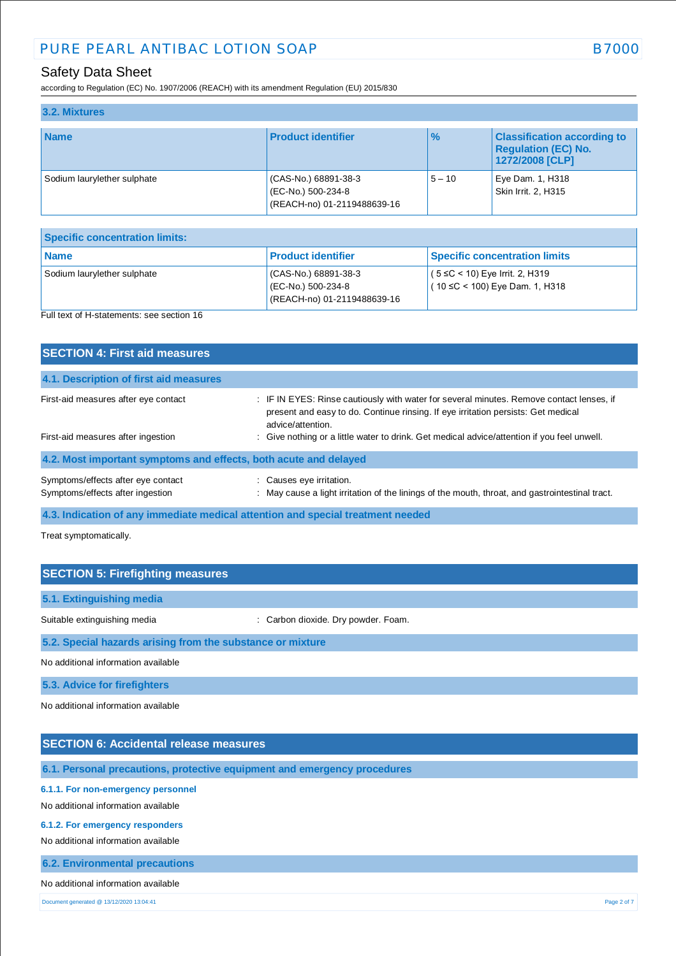according to Regulation (EC) No. 1907/2006 (REACH) with its amendment Regulation (EU) 2015/830

| 3.2. Mixtures               |                                                                           |               |                                                                                     |
|-----------------------------|---------------------------------------------------------------------------|---------------|-------------------------------------------------------------------------------------|
| <b>Name</b>                 | <b>Product identifier</b>                                                 | $\frac{9}{6}$ | <b>Classification according to</b><br><b>Regulation (EC) No.</b><br>1272/2008 [CLP] |
| Sodium laurylether sulphate | (CAS-No.) 68891-38-3<br>(EC-No.) 500-234-8<br>(REACH-no) 01-2119488639-16 | $5 - 10$      | Eye Dam. 1, H318<br>Skin Irrit. 2, H315                                             |

| <b>Specific concentration limits:</b>     |                                                                           |                                                                           |
|-------------------------------------------|---------------------------------------------------------------------------|---------------------------------------------------------------------------|
| Name                                      | <b>Product identifier</b>                                                 | <b>Specific concentration limits</b>                                      |
| Sodium laurylether sulphate               | (CAS-No.) 68891-38-3<br>(EC-No.) 500-234-8<br>(REACH-no) 01-2119488639-16 | $(5 ≤ C < 10)$ Eye Irrit. 2, H319<br>$(10 \leq C < 100)$ Eye Dam. 1, H318 |
| Full text of H-statements: see section 16 |                                                                           |                                                                           |

| <b>SECTION 4: First aid measures</b>                                       |                                                                                                                                                                                                                                                                                                   |
|----------------------------------------------------------------------------|---------------------------------------------------------------------------------------------------------------------------------------------------------------------------------------------------------------------------------------------------------------------------------------------------|
| 4.1. Description of first aid measures                                     |                                                                                                                                                                                                                                                                                                   |
| First-aid measures after eye contact<br>First-aid measures after ingestion | : IF IN EYES: Rinse cautiously with water for several minutes. Remove contact lenses, if<br>present and easy to do. Continue rinsing. If eye irritation persists: Get medical<br>advice/attention.<br>: Give nothing or a little water to drink. Get medical advice/attention if you feel unwell. |
| 4.2. Most important symptoms and effects, both acute and delayed           |                                                                                                                                                                                                                                                                                                   |
| Symptoms/effects after eye contact<br>Symptoms/effects after ingestion     | : Causes eye irritation.<br>: May cause a light irritation of the linings of the mouth, throat, and gastrointestinal tract.                                                                                                                                                                       |

**4.3. Indication of any immediate medical attention and special treatment needed**

Treat symptomatically.

| <b>SECTION 5: Firefighting measures</b>                    |                                     |  |
|------------------------------------------------------------|-------------------------------------|--|
| 5.1. Extinguishing media                                   |                                     |  |
| Suitable extinguishing media                               | : Carbon dioxide. Dry powder. Foam. |  |
| 5.2. Special hazards arising from the substance or mixture |                                     |  |
| No additional information available                        |                                     |  |
| <b>5.3. Advice for firefighters</b>                        |                                     |  |

No additional information available

### **SECTION 6: Accidental release measures**

**6.1. Personal precautions, protective equipment and emergency procedures**

### **6.1.1. For non-emergency personnel**

No additional information available

#### **6.1.2. For emergency responders**

No additional information available

**6.2. Environmental precautions**

#### No additional information available

Document generated @ 13/12/2020 13:04:41 Page 2 of 7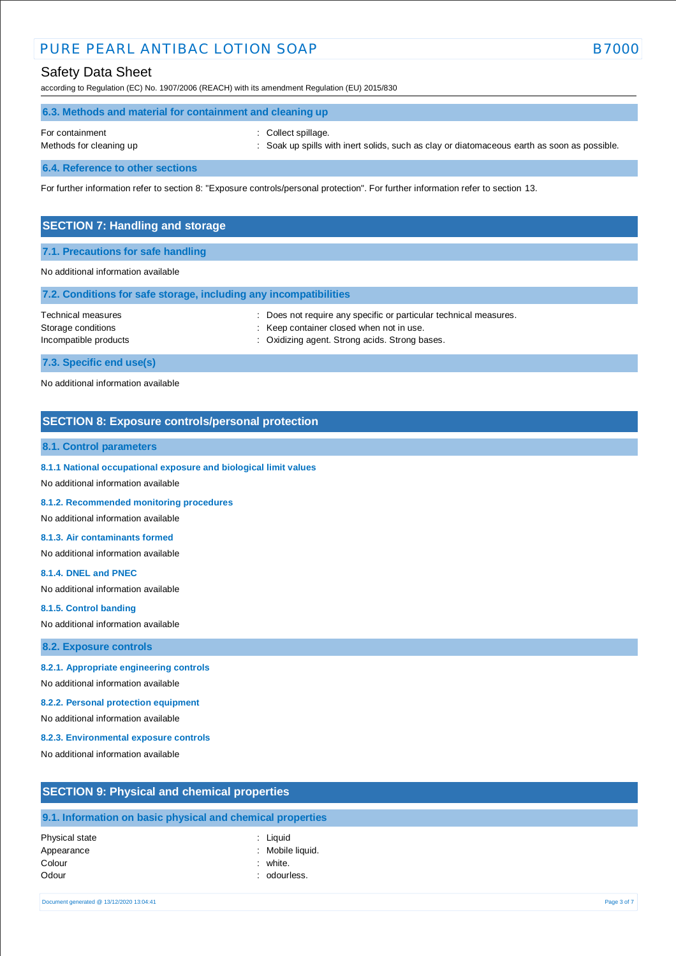# PURE PEARL ANTIBAC LOTION SOAP B7000

# Safety Data Sheet

according to Regulation (EC) No. 1907/2006 (REACH) with its amendment Regulation (EU) 2015/830

| 6.3. Methods and material for containment and cleaning up                                                                         |                                                                                                                  |  |
|-----------------------------------------------------------------------------------------------------------------------------------|------------------------------------------------------------------------------------------------------------------|--|
| For containment<br>Methods for cleaning up                                                                                        | Collect spillage.<br>: Soak up spills with inert solids, such as clay or diatomaceous earth as soon as possible. |  |
| 6.4. Reference to other sections                                                                                                  |                                                                                                                  |  |
| For further information refer to section 8: "Exposure controls/personal protection". For further information refer to section 13. |                                                                                                                  |  |

# **SECTION 7: Handling and storage**

#### **7.1. Precautions for safe handling**

#### No additional information available

| 7.2. Conditions for safe storage, including any incompatibilities |                                                                                                                                                                 |  |
|-------------------------------------------------------------------|-----------------------------------------------------------------------------------------------------------------------------------------------------------------|--|
| Technical measures<br>Storage conditions<br>Incompatible products | : Does not require any specific or particular technical measures.<br>: Keep container closed when not in use.<br>: Oxidizing agent. Strong acids. Strong bases. |  |
| 7.3. Specific end use(s)                                          |                                                                                                                                                                 |  |
| No additional information available                               |                                                                                                                                                                 |  |

# **SECTION 8: Exposure controls/personal protection**

### **8.1. Control parameters**

### **8.1.1 National occupational exposure and biological limit values**

No additional information available

#### **8.1.2. Recommended monitoring procedures**

No additional information available

#### **8.1.3. Air contaminants formed**

No additional information available

#### **8.1.4. DNEL and PNEC**

No additional information available

#### **8.1.5. Control banding**

No additional information available

#### **8.2. Exposure controls**

#### **8.2.1. Appropriate engineering controls**

No additional information available

#### **8.2.2. Personal protection equipment**

No additional information available

#### **8.2.3. Environmental exposure controls**

No additional information available

# **SECTION 9: Physical and chemical properties**

# **9.1. Information on basic physical and chemical properties**

Physical state : Liquid Appearance : Mobile liquid. Colour : white. Odour : odourless.

- 
- -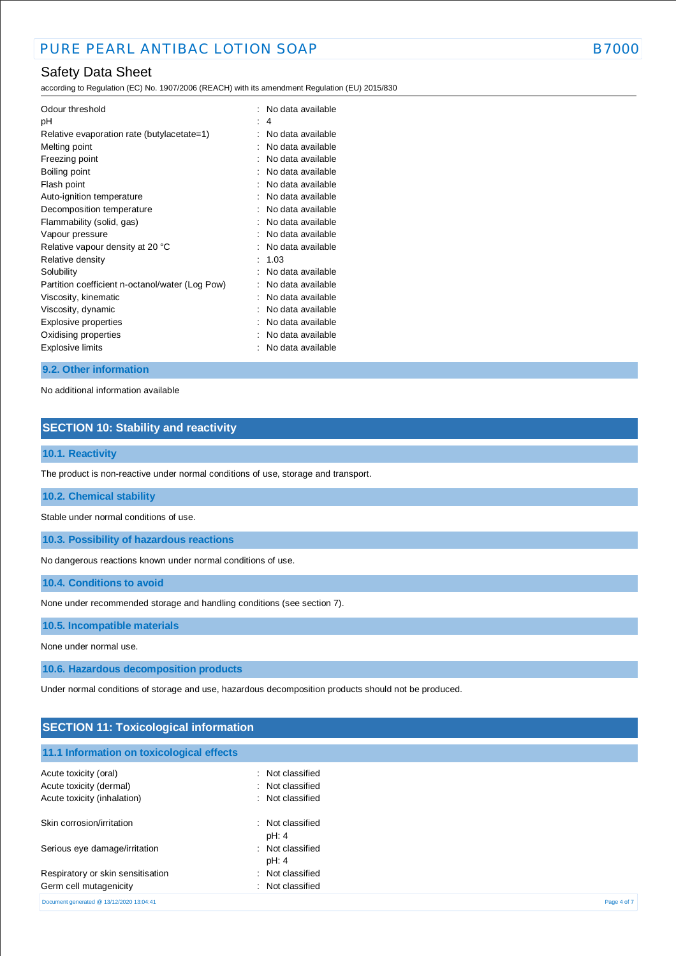according to Regulation (EC) No. 1907/2006 (REACH) with its amendment Regulation (EU) 2015/830

| Odour threshold<br>рH                           | ÷ | No data available<br>4 |
|-------------------------------------------------|---|------------------------|
| Relative evaporation rate (butylacetate=1)      |   | No data available      |
| Melting point                                   |   | No data available      |
| Freezing point                                  |   | No data available      |
| Boiling point                                   |   | No data available      |
| Flash point                                     |   | No data available      |
| Auto-ignition temperature                       |   | No data available      |
| Decomposition temperature                       |   | No data available      |
| Flammability (solid, gas)                       |   | No data available      |
| Vapour pressure                                 |   | No data available      |
| Relative vapour density at 20 °C                |   | No data available      |
| Relative density                                |   | 1.03                   |
| Solubility                                      |   | No data available      |
| Partition coefficient n-octanol/water (Log Pow) |   | No data available      |
| Viscosity, kinematic                            |   | No data available      |
| Viscosity, dynamic                              |   | No data available      |
| Explosive properties                            |   | No data available      |
| Oxidising properties                            |   | No data available      |
| Explosive limits                                |   | No data available      |

#### **9.2. Other information**

No additional information available

# **SECTION 10: Stability and reactivity**

#### **10.1. Reactivity**

The product is non-reactive under normal conditions of use, storage and transport.

#### **10.2. Chemical stability**

Stable under normal conditions of use.

**10.3. Possibility of hazardous reactions**

No dangerous reactions known under normal conditions of use.

**10.4. Conditions to avoid**

None under recommended storage and handling conditions (see section 7).

**10.5. Incompatible materials**

None under normal use.

**10.6. Hazardous decomposition products**

Under normal conditions of storage and use, hazardous decomposition products should not be produced.

# **SECTION 11: Toxicological information 11.1 Information on toxicological effects** Acute toxicity (oral) **Example 2** Constant Acute toxicity (oral) Acute toxicity (dermal) **Example 2** Controller toxicity (dermal) Acute toxicity (inhalation) **individual to the Case of Cassified** in Not classified Skin corrosion/irritation : Not classified pH: 4 Serious eye damage/irritation : Not classified

pH: 4 Respiratory or skin sensitisation : Not classified Germ cell mutagenicity **Second Contract Contract Contract Contract Contract Contract Contract Contract Contract Contract Contract Contract Contract Contract Contract Contract Contract Contract Contract Contract Contract Co** 

Document generated @ 13/12/2020 13:04:41 Page 4 of 7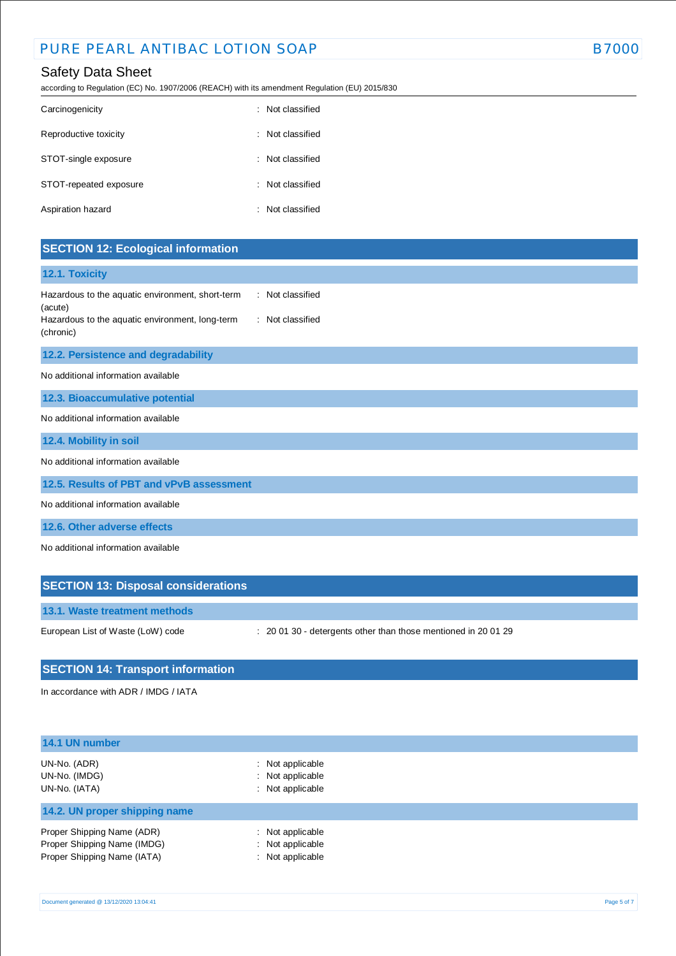according to Regulation (EC) No. 1907/2006 (REACH) with its amendment Regulation (EU) 2015/830

| Carcinogenicity        | : Not classified |
|------------------------|------------------|
| Reproductive toxicity  | : Not classified |
| STOT-single exposure   | : Not classified |
| STOT-repeated exposure | : Not classified |
| Aspiration hazard      | : Not classified |

### **SECTION 12: Ecological information 12.1. Toxicity** Hazardous to the aquatic environment, short-term (acute) : Not classified Hazardous to the aquatic environment, long-term (chronic) : Not classified

**12.2. Persistence and degradability**

No additional information available

**12.3. Bioaccumulative potential**

No additional information available

**12.4. Mobility in soil**

No additional information available

**12.5. Results of PBT and vPvB assessment**

No additional information available

**12.6. Other adverse effects**

No additional information available

| <b>SECTION 13: Disposal considerations</b> |                                                                |
|--------------------------------------------|----------------------------------------------------------------|
| 13.1. Waste treatment methods              |                                                                |
| European List of Waste (LoW) code          | : 20 01 30 - detergents other than those mentioned in 20 01 29 |

### **SECTION 14: Transport information**

In accordance with ADR / IMDG / IATA

| 14.1 UN number                                                                           |                                                                     |  |
|------------------------------------------------------------------------------------------|---------------------------------------------------------------------|--|
| UN-No. (ADR)<br>UN-No. (IMDG)<br>UN-No. (IATA)                                           | $\therefore$ Not applicable<br>: Not applicable<br>: Not applicable |  |
| 14.2. UN proper shipping name                                                            |                                                                     |  |
| Proper Shipping Name (ADR)<br>Proper Shipping Name (IMDG)<br>Proper Shipping Name (IATA) | $\therefore$ Not applicable<br>: Not applicable<br>: Not applicable |  |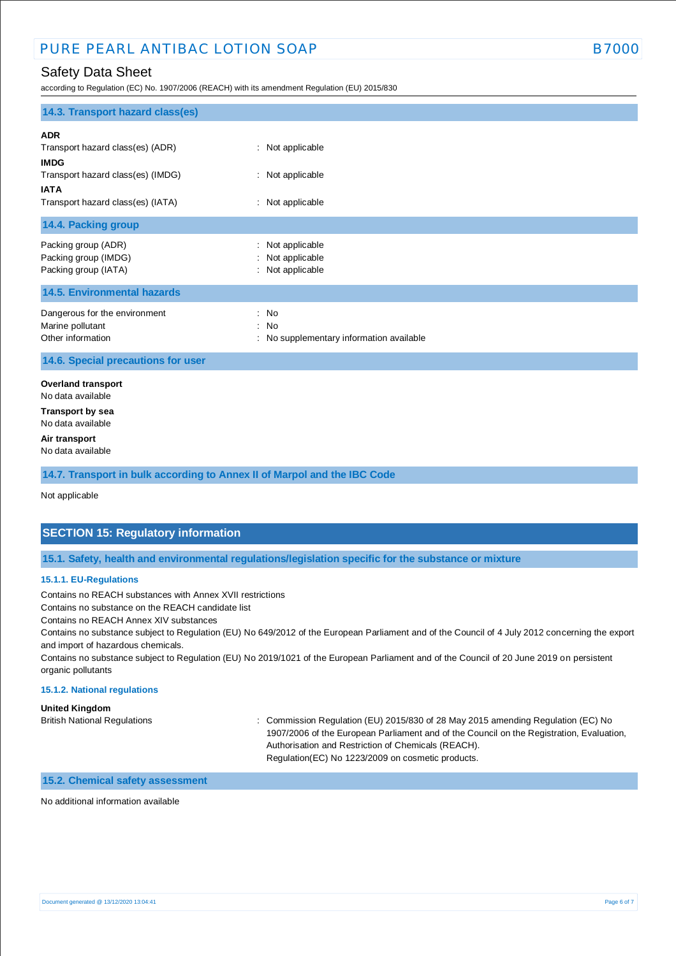according to Regulation (EC) No. 1907/2006 (REACH) with its amendment Regulation (EU) 2015/830

| 14.3. Transport hazard class(es)                                                                   |                                                          |
|----------------------------------------------------------------------------------------------------|----------------------------------------------------------|
| <b>ADR</b><br>Transport hazard class(es) (ADR)<br><b>IMDG</b><br>Transport hazard class(es) (IMDG) | : Not applicable<br>: Not applicable                     |
| <b>IATA</b><br>Transport hazard class(es) (IATA)                                                   | : Not applicable                                         |
| 14.4. Packing group                                                                                |                                                          |
| Packing group (ADR)<br>Packing group (IMDG)<br>Packing group (IATA)                                | : Not applicable<br>Not applicable<br>: Not applicable   |
| <b>14.5. Environmental hazards</b>                                                                 |                                                          |
| Dangerous for the environment<br>Marine pollutant<br>Other information                             | : No<br>: No<br>: No supplementary information available |
| 14.6. Special precautions for user                                                                 |                                                          |
| <b>Overland transport</b><br>No data available                                                     |                                                          |
| <b>Transport by sea</b><br>No data available                                                       |                                                          |
| Air transport<br>No data available                                                                 |                                                          |
| 14.7. Transport in bulk according to Annex II of Marpol and the IBC Code                           |                                                          |

Not applicable

### **SECTION 15: Regulatory information**

**15.1. Safety, health and environmental regulations/legislation specific for the substance or mixture**

#### **15.1.1. EU-Regulations**

Contains no REACH substances with Annex XVII restrictions

Contains no substance on the REACH candidate list

Contains no REACH Annex XIV substances

Contains no substance subject to Regulation (EU) No 649/2012 of the European Parliament and of the Council of 4 July 2012 concerning the export and import of hazardous chemicals.

Contains no substance subject to Regulation (EU) No 2019/1021 of the European Parliament and of the Council of 20 June 2019 on persistent organic pollutants

#### **15.1.2. National regulations**

**United Kingdom**

British National Regulations : Commission Regulation (EU) 2015/830 of 28 May 2015 amending Regulation (EC) No 1907/2006 of the European Parliament and of the Council on the Registration, Evaluation, Authorisation and Restriction of Chemicals (REACH). Regulation(EC) No 1223/2009 on cosmetic products.

#### **15.2. Chemical safety assessment**

No additional information available